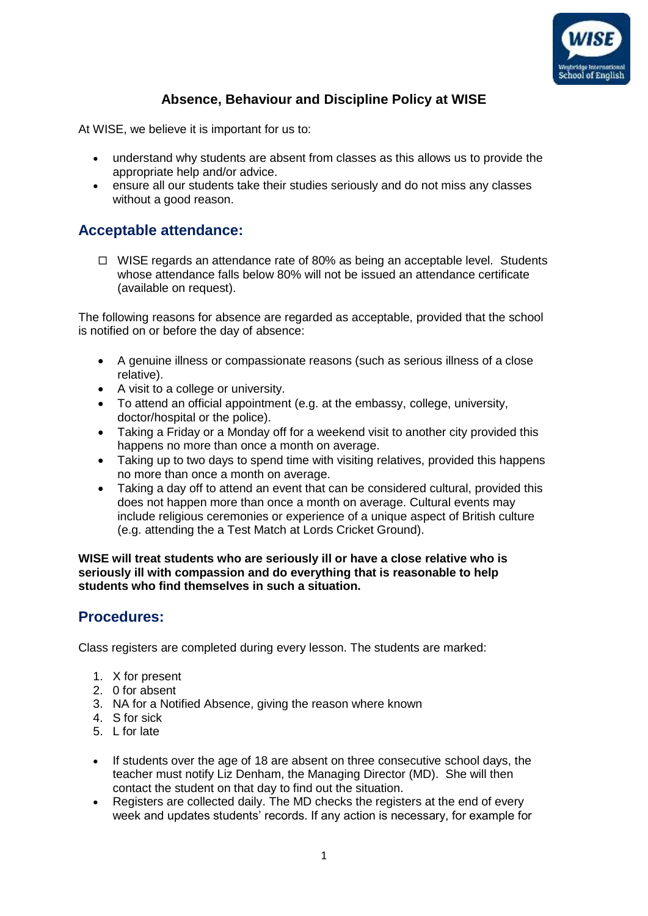

## **Absence, Behaviour and Discipline Policy at WISE**

At WISE, we believe it is important for us to:

- understand why students are absent from classes as this allows us to provide the appropriate help and/or advice.
- ensure all our students take their studies seriously and do not miss any classes without a good reason.

#### **Acceptable attendance:**

 $\Box$  WISE regards an attendance rate of 80% as being an acceptable level. Students whose attendance falls below 80% will not be issued an attendance certificate (available on request).

The following reasons for absence are regarded as acceptable, provided that the school is notified on or before the day of absence:

- A genuine illness or compassionate reasons (such as serious illness of a close relative).
- A visit to a college or university.
- To attend an official appointment (e.g. at the embassy, college, university, doctor/hospital or the police).
- Taking a Friday or a Monday off for a weekend visit to another city provided this happens no more than once a month on average.
- Taking up to two days to spend time with visiting relatives, provided this happens no more than once a month on average.
- Taking a day off to attend an event that can be considered cultural, provided this does not happen more than once a month on average. Cultural events may include religious ceremonies or experience of a unique aspect of British culture (e.g. attending the a Test Match at Lords Cricket Ground).

**WISE will treat students who are seriously ill or have a close relative who is seriously ill with compassion and do everything that is reasonable to help students who find themselves in such a situation.**

#### **Procedures:**

Class registers are completed during every lesson. The students are marked:

- 1. X for present
- 2. 0 for absent
- 3. NA for a Notified Absence, giving the reason where known
- 4. S for sick
- 5. L for late
- If students over the age of 18 are absent on three consecutive school days, the teacher must notify Liz Denham, the Managing Director (MD). She will then contact the student on that day to find out the situation.
- Registers are collected daily. The MD checks the registers at the end of every week and updates students' records. If any action is necessary, for example for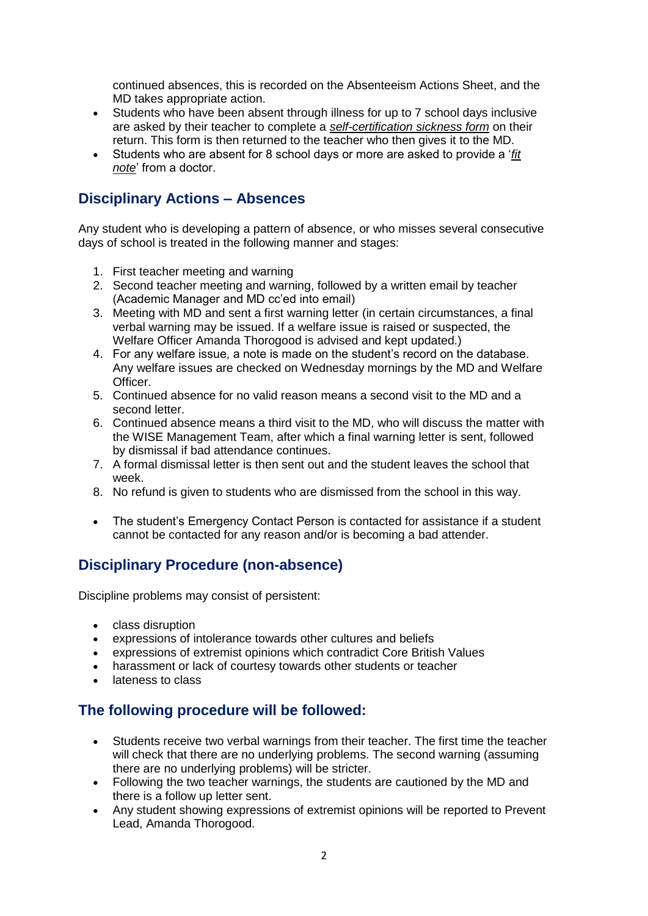continued absences, this is recorded on the Absenteeism Actions Sheet, and the MD takes appropriate action.

- Students who have been absent through illness for up to 7 school days inclusive are asked by their teacher to complete a *self-certification sickness form* on their return. This form is then returned to the teacher who then gives it to the MD.
- Students who are absent for 8 school days or more are asked to provide a '*fit note*' from a doctor.

### **Disciplinary Actions – Absences**

Any student who is developing a pattern of absence, or who misses several consecutive days of school is treated in the following manner and stages:

- 1. First teacher meeting and warning
- 2. Second teacher meeting and warning, followed by a written email by teacher (Academic Manager and MD cc'ed into email)
- 3. Meeting with MD and sent a first warning letter (in certain circumstances, a final verbal warning may be issued. If a welfare issue is raised or suspected, the Welfare Officer Amanda Thorogood is advised and kept updated.)
- 4. For any welfare issue, a note is made on the student's record on the database. Any welfare issues are checked on Wednesday mornings by the MD and Welfare Officer.
- 5. Continued absence for no valid reason means a second visit to the MD and a second letter.
- 6. Continued absence means a third visit to the MD, who will discuss the matter with the WISE Management Team, after which a final warning letter is sent, followed by dismissal if bad attendance continues.
- 7. A formal dismissal letter is then sent out and the student leaves the school that week.
- 8. No refund is given to students who are dismissed from the school in this way.
- The student's Emergency Contact Person is contacted for assistance if a student cannot be contacted for any reason and/or is becoming a bad attender.

# **Disciplinary Procedure (non-absence)**

Discipline problems may consist of persistent:

- class disruption
- expressions of intolerance towards other cultures and beliefs
- expressions of extremist opinions which contradict Core British Values
- harassment or lack of courtesy towards other students or teacher
- lateness to class

#### **The following procedure will be followed:**

- Students receive two verbal warnings from their teacher. The first time the teacher will check that there are no underlying problems. The second warning (assuming there are no underlying problems) will be stricter.
- Following the two teacher warnings, the students are cautioned by the MD and there is a follow up letter sent.
- Any student showing expressions of extremist opinions will be reported to Prevent Lead, Amanda Thorogood.